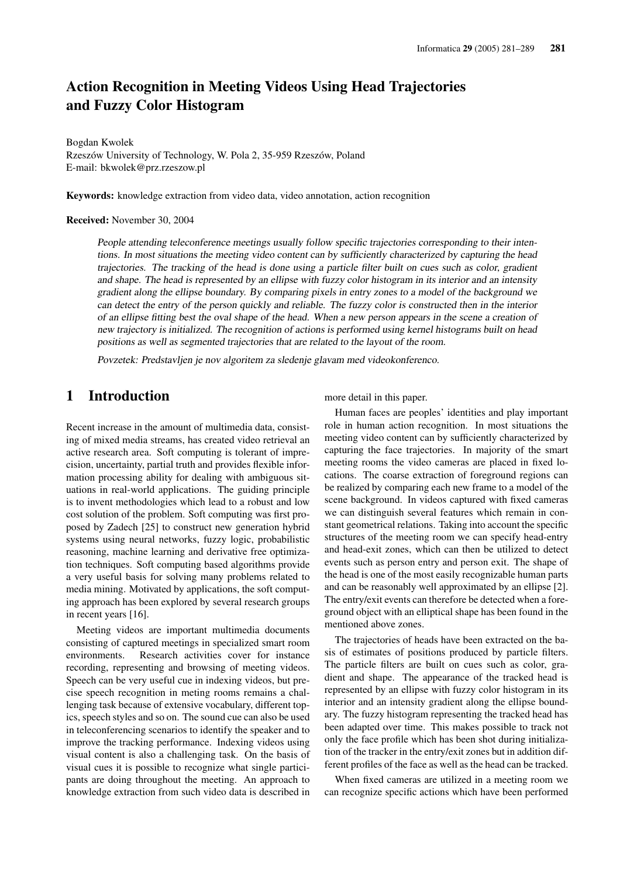# Action Recognition in Meeting Videos Using Head Trajectories and Fuzzy Color Histogram

Bogdan Kwolek Rzeszów University of Technology, W. Pola 2, 35-959 Rzeszów, Poland E-mail: bkwolek@prz.rzeszow.pl

Keywords: knowledge extraction from video data, video annotation, action recognition

Received: November 30, 2004

People attending teleconference meetings usually follow specific trajectories corresponding to their intentions. In most situations the meeting video content can by sufficiently characterized by capturing the head trajectories. The tracking of the head is done using <sup>a</sup> particle filter built on cues such as color, gradient and shape. The head is represented by an ellipse with fuzzy color histogram in its interior and an intensity gradient along the ellipse boundary. By comparing pixels in entry zones to <sup>a</sup> model of the background we can detect the entry of the person quickly and reliable. The fuzzy color is constructed then in the interior of an ellipse fitting best the oval shape of the head. When <sup>a</sup> new person appears in the scene <sup>a</sup> creation of new trajectory is initialized. The recognition of actions is performed using kernel histograms built on head positions as well as segmented trajectories that are related to the layout of the room.

Povzetek: Predstavljen je nov algoritem za sledenje glavam med videokonferenco.

## 1 Introduction

Recent increase in the amount of multimedia data, consisting of mixed media streams, has created video retrieval an active research area. Soft computing is tolerant of imprecision, uncertainty, partial truth and provides flexible information processing ability for dealing with ambiguous situations in real-world applications. The guiding principle is to invent methodologies which lead to a robust and low cost solution of the problem. Soft computing was first proposed by Zadech [25] to construct new generation hybrid systems using neural networks, fuzzy logic, probabilistic reasoning, machine learning and derivative free optimization techniques. Soft computing based algorithms provide a very useful basis for solving many problems related to media mining. Motivated by applications, the soft computing approach has been explored by several research groups in recent years [16].

Meeting videos are important multimedia documents consisting of captured meetings in specialized smart room environments. Research activities cover for instance recording, representing and browsing of meeting videos. Speech can be very useful cue in indexing videos, but precise speech recognition in meting rooms remains a challenging task because of extensive vocabulary, different topics, speech styles and so on. The sound cue can also be used in teleconferencing scenarios to identify the speaker and to improve the tracking performance. Indexing videos using visual content is also a challenging task. On the basis of visual cues it is possible to recognize what single participants are doing throughout the meeting. An approach to knowledge extraction from such video data is described in

more detail in this paper.

Human faces are peoples' identities and play important role in human action recognition. In most situations the meeting video content can by sufficiently characterized by capturing the face trajectories. In majority of the smart meeting rooms the video cameras are placed in fixed locations. The coarse extraction of foreground regions can be realized by comparing each new frame to a model of the scene background. In videos captured with fixed cameras we can distinguish several features which remain in constant geometrical relations. Taking into account the specific structures of the meeting room we can specify head-entry and head-exit zones, which can then be utilized to detect events such as person entry and person exit. The shape of the head is one of the most easily recognizable human parts and can be reasonably well approximated by an ellipse [2]. The entry/exit events can therefore be detected when a foreground object with an elliptical shape has been found in the mentioned above zones.

The trajectories of heads have been extracted on the basis of estimates of positions produced by particle filters. The particle filters are built on cues such as color, gradient and shape. The appearance of the tracked head is represented by an ellipse with fuzzy color histogram in its interior and an intensity gradient along the ellipse boundary. The fuzzy histogram representing the tracked head has been adapted over time. This makes possible to track not only the face profile which has been shot during initialization of the tracker in the entry/exit zones but in addition different profiles of the face as well as the head can be tracked.

When fixed cameras are utilized in a meeting room we can recognize specific actions which have been performed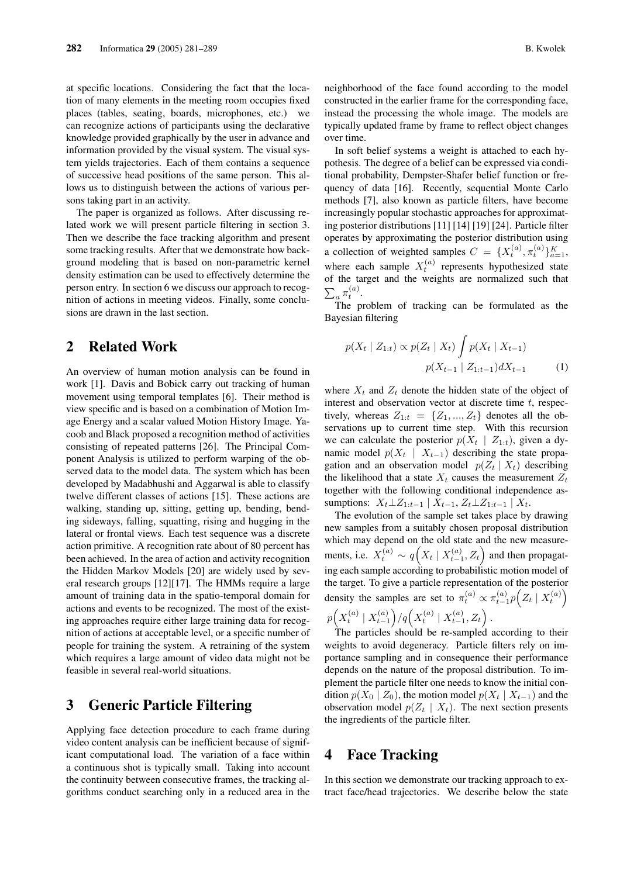at specific locations. Considering the fact that the location of many elements in the meeting room occupies fixed places (tables, seating, boards, microphones, etc.) we can recognize actions of participants using the declarative knowledge provided graphically by the user in advance and information provided by the visual system. The visual system yields trajectories. Each of them contains a sequence of successive head positions of the same person. This allows us to distinguish between the actions of various persons taking part in an activity.

The paper is organized as follows. After discussing related work we will present particle filtering in section 3. Then we describe the face tracking algorithm and present some tracking results. After that we demonstrate how background modeling that is based on non-parametric kernel density estimation can be used to effectively determine the person entry. In section 6 we discuss our approach to recognition of actions in meeting videos. Finally, some conclusions are drawn in the last section.

## 2 Related Work

An overview of human motion analysis can be found in work [1]. Davis and Bobick carry out tracking of human movement using temporal templates [6]. Their method is view specific and is based on a combination of Motion Image Energy and a scalar valued Motion History Image. Yacoob and Black proposed a recognition method of activities consisting of repeated patterns [26]. The Principal Component Analysis is utilized to perform warping of the observed data to the model data. The system which has been developed by Madabhushi and Aggarwal is able to classify twelve different classes of actions [15]. These actions are walking, standing up, sitting, getting up, bending, bending sideways, falling, squatting, rising and hugging in the lateral or frontal views. Each test sequence was a discrete action primitive. A recognition rate about of 80 percent has been achieved. In the area of action and activity recognition the Hidden Markov Models [20] are widely used by several research groups [12][17]. The HMMs require a large amount of training data in the spatio-temporal domain for actions and events to be recognized. The most of the existing approaches require either large training data for recognition of actions at acceptable level, or a specific number of people for training the system. A retraining of the system which requires a large amount of video data might not be feasible in several real-world situations.

## 3 Generic Particle Filtering

Applying face detection procedure to each frame during video content analysis can be inefficient because of significant computational load. The variation of a face within a continuous shot is typically small. Taking into account the continuity between consecutive frames, the tracking algorithms conduct searching only in a reduced area in the neighborhood of the face found according to the model constructed in the earlier frame for the corresponding face, instead the processing the whole image. The models are typically updated frame by frame to reflect object changes over time.

In soft belief systems a weight is attached to each hypothesis. The degree of a belief can be expressed via conditional probability, Dempster-Shafer belief function or frequency of data [16]. Recently, sequential Monte Carlo methods [7], also known as particle filters, have become increasingly popular stochastic approaches for approximating posterior distributions [11] [14] [19] [24]. Particle filter operates by approximating the posterior distribution using a collection of weighted samples  $C = \{X_t^{(a)}, \pi_t^{(a)}\}_{a=1}^K$ , where each sample  $X_t^{(a)}$  represents hypothesized state of the target and the weights are normalized such that  $\overline{ }$  $a^{\pi_t^{(a)}}$ .

The problem of tracking can be formulated as the Bayesian filtering

$$
p(X_t | Z_{1:t}) \propto p(Z_t | X_t) \int p(X_t | X_{t-1})
$$

$$
p(X_{t-1} | Z_{1:t-1}) dX_{t-1} \qquad (1)
$$

where  $X_t$  and  $Z_t$  denote the hidden state of the object of interest and observation vector at discrete time  $t$ , respectively, whereas  $Z_{1:t} = \{Z_1, ..., Z_t\}$  denotes all the observations up to current time step. With this recursion we can calculate the posterior  $p(X_t | Z_{1:t})$ , given a dynamic model  $p(X_t | X_{t-1})$  describing the state propagation and an observation model  $p(Z_t | X_t)$  describing the likelihood that a state  $X_t$  causes the measurement  $Z_t$ together with the following conditional independence assumptions:  $X_t \perp Z_{1:t-1} | X_{t-1}, Z_t \perp Z_{1:t-1} | X_t$ .

The evolution of the sample set takes place by drawing new samples from a suitably chosen proposal distribution which may depend on the old state and the new measurements, i.e.  $X_t^{(a)} \sim q(X_t | X_{t-1}^{(a)}, Z_t)$  and then propagating each sample according to probabilistic motion model of the target. To give a particle representation of the posterior density the samples are set to  $\pi_t^{(a)} \propto \pi_{t-1}^{(a)} p\left(Z_t \mid X_t^{(a)}\right)$ p ³  $X_t^{(a)} \mid X_{t-1}^{(a)}$  $\int_{a}^{b} / q \Big(X_t^{(a)} \mid X_{t-1}^{(a)}, Z_t\Big)$ ´ .

The particles should be re-sampled according to their weights to avoid degeneracy. Particle filters rely on importance sampling and in consequence their performance depends on the nature of the proposal distribution. To implement the particle filter one needs to know the initial condition  $p(X_0 | Z_0)$ , the motion model  $p(X_t | X_{t-1})$  and the observation model  $p(Z_t | X_t)$ . The next section presents the ingredients of the particle filter.

## 4 Face Tracking

In this section we demonstrate our tracking approach to extract face/head trajectories. We describe below the state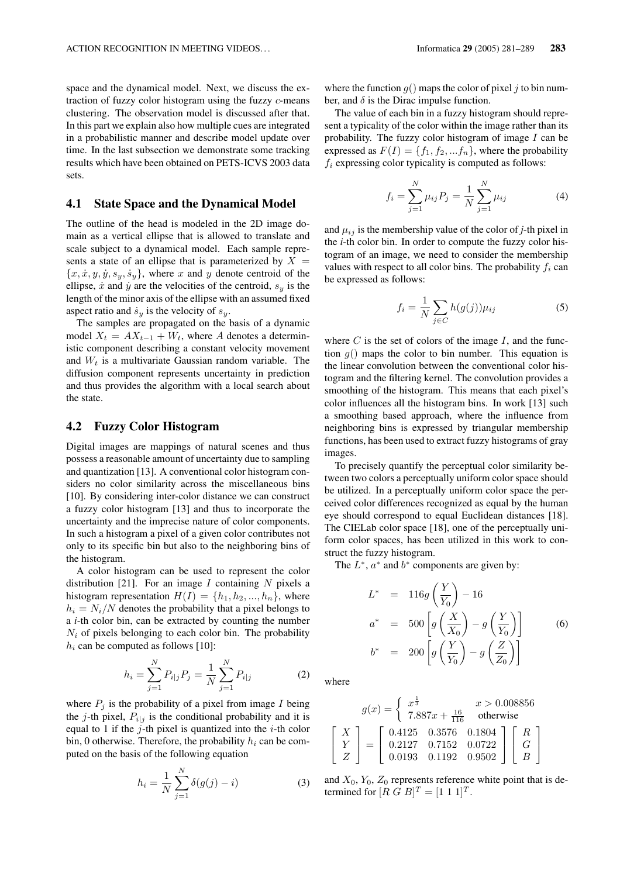space and the dynamical model. Next, we discuss the extraction of fuzzy color histogram using the fuzzy c-means clustering. The observation model is discussed after that. In this part we explain also how multiple cues are integrated in a probabilistic manner and describe model update over time. In the last subsection we demonstrate some tracking results which have been obtained on PETS-ICVS 2003 data sets.

#### 4.1 State Space and the Dynamical Model

The outline of the head is modeled in the 2D image domain as a vertical ellipse that is allowed to translate and scale subject to a dynamical model. Each sample represents a state of an ellipse that is parameterized by  $X =$  ${x, \dot{x}, y, \dot{y}, s_y, \dot{s}_y}$ , where x and y denote centroid of the ellipse,  $\dot{x}$  and  $\dot{y}$  are the velocities of the centroid,  $s_y$  is the length of the minor axis of the ellipse with an assumed fixed aspect ratio and  $\dot{s}_y$  is the velocity of  $s_y$ .

The samples are propagated on the basis of a dynamic model  $X_t = AX_{t-1} + W_t$ , where A denotes a deterministic component describing a constant velocity movement and  $W_t$  is a multivariate Gaussian random variable. The diffusion component represents uncertainty in prediction and thus provides the algorithm with a local search about the state.

#### 4.2 Fuzzy Color Histogram

Digital images are mappings of natural scenes and thus possess a reasonable amount of uncertainty due to sampling and quantization [13]. A conventional color histogram considers no color similarity across the miscellaneous bins [10]. By considering inter-color distance we can construct a fuzzy color histogram [13] and thus to incorporate the uncertainty and the imprecise nature of color components. In such a histogram a pixel of a given color contributes not only to its specific bin but also to the neighboring bins of the histogram.

A color histogram can be used to represent the color distribution [21]. For an image I containing N pixels a histogram representation  $H(I) = \{h_1, h_2, ..., h_n\}$ , where  $h_i = N_i/N$  denotes the probability that a pixel belongs to a *i*-th color bin, can be extracted by counting the number  $N_i$  of pixels belonging to each color bin. The probability  $h_i$  can be computed as follows [10]:

$$
h_i = \sum_{j=1}^{N} P_{i|j} P_j = \frac{1}{N} \sum_{j=1}^{N} P_{i|j}
$$
 (2)

where  $P_j$  is the probability of a pixel from image I being the j-th pixel,  $P_{i|j}$  is the conditional probability and it is equal to 1 if the  $j$ -th pixel is quantized into the  $i$ -th color bin, 0 otherwise. Therefore, the probability  $h_i$  can be computed on the basis of the following equation

$$
h_i = \frac{1}{N} \sum_{j=1}^{N} \delta(g(j) - i)
$$
 (3)

where the function  $g()$  maps the color of pixel j to bin number, and  $\delta$  is the Dirac impulse function.

The value of each bin in a fuzzy histogram should represent a typicality of the color within the image rather than its probability. The fuzzy color histogram of image  $I$  can be expressed as  $F(I) = \{f_1, f_2, ... f_n\}$ , where the probability  $f_i$  expressing color typicality is computed as follows:

$$
f_i = \sum_{j=1}^{N} \mu_{ij} P_j = \frac{1}{N} \sum_{j=1}^{N} \mu_{ij}
$$
 (4)

and  $\mu_{ij}$  is the membership value of the color of *j*-th pixel in the *i*-th color bin. In order to compute the fuzzy color histogram of an image, we need to consider the membership values with respect to all color bins. The probability  $f_i$  can be expressed as follows:

$$
f_i = \frac{1}{N} \sum_{j \in C} h(g(j)) \mu_{ij}
$$
 (5)

where  $C$  is the set of colors of the image  $I$ , and the function  $q()$  maps the color to bin number. This equation is the linear convolution between the conventional color histogram and the filtering kernel. The convolution provides a smoothing of the histogram. This means that each pixel's color influences all the histogram bins. In work [13] such a smoothing based approach, where the influence from neighboring bins is expressed by triangular membership functions, has been used to extract fuzzy histograms of gray images.

To precisely quantify the perceptual color similarity between two colors a perceptually uniform color space should be utilized. In a perceptually uniform color space the perceived color differences recognized as equal by the human eye should correspond to equal Euclidean distances [18]. The CIELab color space [18], one of the perceptually uniform color spaces, has been utilized in this work to construct the fuzzy histogram.

The  $L^*$ ,  $a^*$  and  $b^*$  components are given by:

$$
L^* = 116g\left(\frac{Y}{Y_0}\right) - 16
$$
  
\n
$$
a^* = 500\left[g\left(\frac{X}{X_0}\right) - g\left(\frac{Y}{Y_0}\right)\right]
$$
  
\n
$$
b^* = 200\left[g\left(\frac{Y}{Y_0}\right) - g\left(\frac{Z}{Z_0}\right)\right]
$$
\n(6)

where

$$
g(x) = \begin{cases} x^{\frac{1}{3}} & x > 0.008856\\ 7.887x + \frac{16}{116} & \text{otherwise} \end{cases}
$$
  

$$
\begin{bmatrix} X\\ Y\\ Z \end{bmatrix} = \begin{bmatrix} 0.4125 & 0.3576 & 0.1804\\ 0.2127 & 0.7152 & 0.0722\\ 0.0193 & 0.1192 & 0.9502 \end{bmatrix} \begin{bmatrix} R\\ G\\ B \end{bmatrix}
$$

and  $X_0$ ,  $Y_0$ ,  $Z_0$  represents reference white point that is determined for  $[R G B]^T = [1 1 1]^T$ .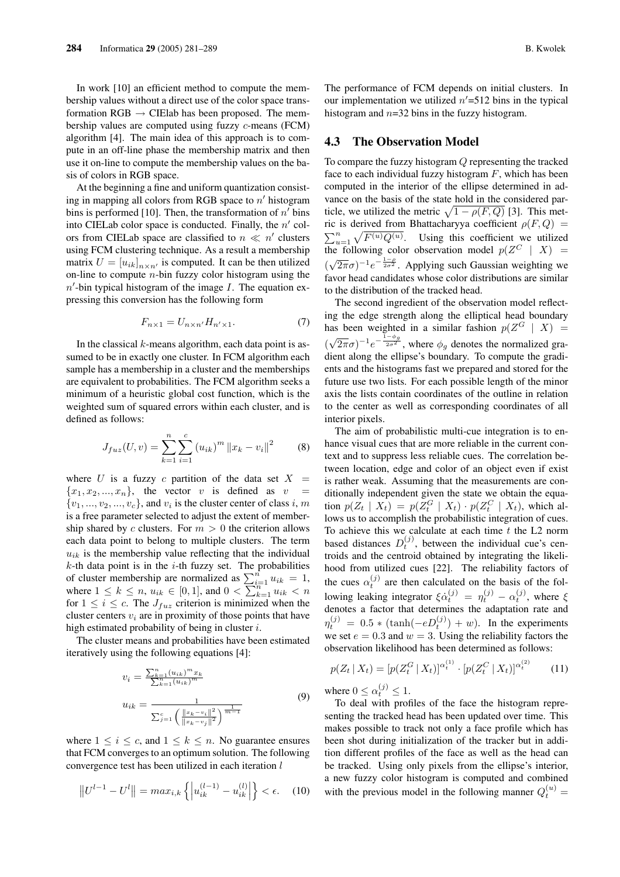In work [10] an efficient method to compute the membership values without a direct use of the color space transformation  $RGB \rightarrow$  CIElab has been proposed. The membership values are computed using fuzzy c-means (FCM) algorithm [4]. The main idea of this approach is to compute in an off-line phase the membership matrix and then use it on-line to compute the membership values on the basis of colors in RGB space.

At the beginning a fine and uniform quantization consisting in mapping all colors from RGB space to  $n'$  histogram bins is performed [10]. Then, the transformation of  $n'$  bins into CIELab color space is conducted. Finally, the  $n'$  colors from CIELab space are classified to  $n \ll n'$  clusters using FCM clustering technique. As a result a membership matrix  $U = [u_{ik}]_{n \times n'}$  is computed. It can be then utilized on-line to compute  $n$ -bin fuzzy color histogram using the  $n'$ -bin typical histogram of the image  $I$ . The equation expressing this conversion has the following form

$$
F_{n\times 1} = U_{n\times n'} H_{n'\times 1}.
$$
 (7)

In the classical  $k$ -means algorithm, each data point is assumed to be in exactly one cluster. In FCM algorithm each sample has a membership in a cluster and the memberships are equivalent to probabilities. The FCM algorithm seeks a minimum of a heuristic global cost function, which is the weighted sum of squared errors within each cluster, and is defined as follows:

$$
J_{fuz}(U,v) = \sum_{k=1}^{n} \sum_{i=1}^{c} (u_{ik})^{m} ||x_k - v_i||^2
$$
 (8)

where U is a fuzzy c partition of the data set  $X =$  ${x_1, x_2, ..., x_n}$ , the vector v is defined as v  $\{v_1, \ldots, v_2, \ldots, v_c\}$ , and  $v_i$  is the cluster center of class i, m is a free parameter selected to adjust the extent of membership shared by c clusters. For  $m > 0$  the criterion allows each data point to belong to multiple clusters. The term  $u_{ik}$  is the membership value reflecting that the individual  $k$ -th data point is in the  $i$ -th fuzzy set. The probabilities  $\kappa$ -th data point is in the *t*-th fuzzy set. The probabilities<br>of cluster membership are normalized as  $\sum_{i=1}^{n} u_{ik} = 1$ , of cluster membership are normalized as  $\sum_{i=1}^n u_{ik} = 1$ ,<br>where  $1 \le k \le n$ ,  $u_{ik} \in [0, 1]$ , and  $0 < \sum_{k=1}^n u_{ik} < n$ for  $1 \leq i \leq c$ . The  $J_{fuz}$  criterion is minimized when the cluster centers  $v_i$  are in proximity of those points that have high estimated probability of being in cluster  $i$ .

The cluster means and probabilities have been estimated iteratively using the following equations [4]:

$$
v_i = \frac{\sum_{k=1}^{n} (u_{ik})^m x_k}{\sum_{k=1}^{n} (u_{ik})^m}
$$
  

$$
u_{ik} = \frac{1}{\sum_{j=1}^{n} \left( \frac{\|x_k - v_i\|^2}{\|x_k - v_j\|^2} \right)^{\frac{1}{m-1}}}
$$
 $(9)$ 

where  $1 \leq i \leq c$ , and  $1 \leq k \leq n$ . No guarantee ensures that FCM converges to an optimum solution. The following convergence test has been utilized in each iteration  $l$ 

$$
\left\| U^{l-1} - U^l \right\| = \max_{i,k} \left\{ \left| u_{ik}^{(l-1)} - u_{ik}^{(l)} \right| \right\} < \epsilon. \tag{10}
$$

The performance of FCM depends on initial clusters. In our implementation we utilized  $n' = 512$  bins in the typical histogram and  $n=32$  bins in the fuzzy histogram.

#### 4.3 The Observation Model

To compare the fuzzy histogram Q representing the tracked face to each individual fuzzy histogram  $F$ , which has been computed in the interior of the ellipse determined in advance on the basis of the state hold in the considered parvance on the basis of the state hold in the considered particle, we utilized the metric  $\sqrt{1 - \rho(F, Q)}$  [3]. This metric is derived from Bhattacharyya coefficient  $\rho(F, Q)$  =  $\sum_{u=1}^{n}$  $\mathop{\rm ref}\nolimits$  $F^{(u)}Q^{(u)}$ . Using this coefficient we utilized the following color observation model  $p(Z^C | X) =$ ( √  $(\overline{2\pi}\sigma)^{-1}e^{-\frac{1-\rho}{2\sigma^2}}$ . Applying such Gaussian weighting we favor head candidates whose color distributions are similar to the distribution of the tracked head.

The second ingredient of the observation model reflecting the edge strength along the elliptical head boundary has been weighted in a similar fashion  $p(Z^G \mid X) =$ ( √  $(\overline{2\pi}\sigma)^{-1}e^{-\frac{1-\phi_g}{2\sigma^2}}$ , where  $\phi_g$  denotes the normalized gradient along the ellipse's boundary. To compute the gradients and the histograms fast we prepared and stored for the future use two lists. For each possible length of the minor axis the lists contain coordinates of the outline in relation to the center as well as corresponding coordinates of all interior pixels.

The aim of probabilistic multi-cue integration is to enhance visual cues that are more reliable in the current context and to suppress less reliable cues. The correlation between location, edge and color of an object even if exist is rather weak. Assuming that the measurements are conditionally independent given the state we obtain the equation  $p(Z_t | X_t) = p(Z_t^G | X_t) \cdot p(Z_t^C | X_t)$ , which allows us to accomplish the probabilistic integration of cues. To achieve this we calculate at each time  $t$  the L2 norm based distances  $D_t^{(j)}$ , between the individual cue's centroids and the centroid obtained by integrating the likelihood from utilized cues [22]. The reliability factors of the cues  $\alpha_t^{(j)}$  are then calculated on the basis of the following leaking integrator  $\xi \dot{\alpha}_t^{(j)} = \eta_t^{(j)} - \alpha_t^{(j)}$ , where  $\xi$ denotes a factor that determines the adaptation rate and  $\eta_t^{(j)} = 0.5 * (\tanh(-eD_t^{(j)}) + w)$ . In the experiments we set  $e = 0.3$  and  $w = 3$ . Using the reliability factors the observation likelihood has been determined as follows:

$$
p(Z_t | X_t) = [p(Z_t^G | X_t)]^{\alpha_t^{(1)}} \cdot [p(Z_t^G | X_t)]^{\alpha_t^{(2)}} \qquad (11)
$$

where  $0 \leq \alpha_t^{(j)} \leq 1$ .

To deal with profiles of the face the histogram representing the tracked head has been updated over time. This makes possible to track not only a face profile which has been shot during initialization of the tracker but in addition different profiles of the face as well as the head can be tracked. Using only pixels from the ellipse's interior, a new fuzzy color histogram is computed and combined with the previous model in the following manner  $Q_t^{(u)}$  =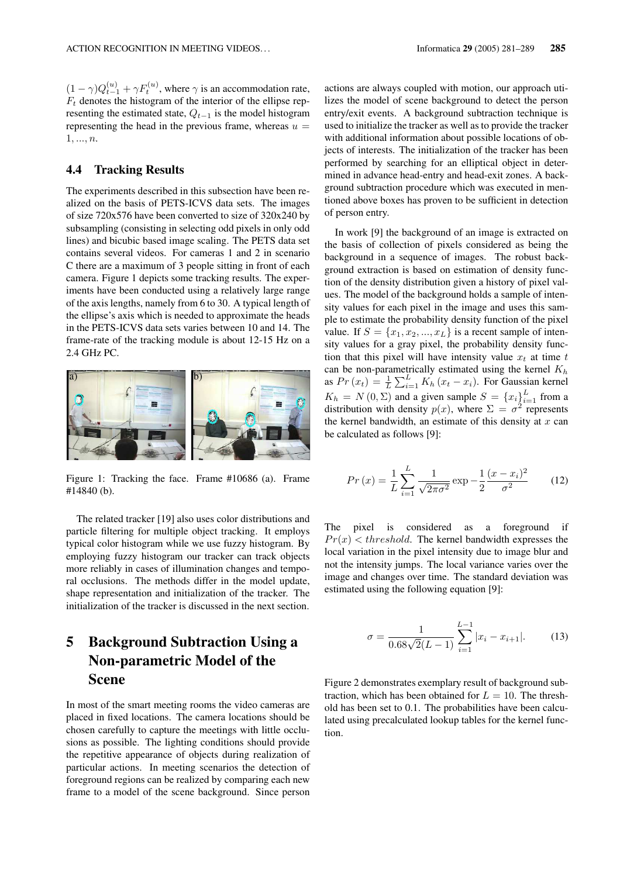$(1 - \gamma)Q_{t-1}^{(u)} + \gamma F_t^{(u)}$ , where  $\gamma$  is an accommodation rate,  $F_t$  denotes the histogram of the interior of the ellipse representing the estimated state,  $Q_{t-1}$  is the model histogram representing the head in the previous frame, whereas  $u =$  $1, ..., n$ .

### 4.4 Tracking Results

The experiments described in this subsection have been realized on the basis of PETS-ICVS data sets. The images of size 720x576 have been converted to size of 320x240 by subsampling (consisting in selecting odd pixels in only odd lines) and bicubic based image scaling. The PETS data set contains several videos. For cameras 1 and 2 in scenario C there are a maximum of 3 people sitting in front of each camera. Figure 1 depicts some tracking results. The experiments have been conducted using a relatively large range of the axis lengths, namely from 6 to 30. A typical length of the ellipse's axis which is needed to approximate the heads in the PETS-ICVS data sets varies between 10 and 14. The frame-rate of the tracking module is about 12-15 Hz on a 2.4 GHz PC.



Figure 1: Tracking the face. Frame #10686 (a). Frame #14840 (b).

The related tracker [19] also uses color distributions and particle filtering for multiple object tracking. It employs typical color histogram while we use fuzzy histogram. By employing fuzzy histogram our tracker can track objects more reliably in cases of illumination changes and temporal occlusions. The methods differ in the model update, shape representation and initialization of the tracker. The initialization of the tracker is discussed in the next section.

# 5 Background Subtraction Using a Non-parametric Model of the Scene

In most of the smart meeting rooms the video cameras are placed in fixed locations. The camera locations should be chosen carefully to capture the meetings with little occlusions as possible. The lighting conditions should provide the repetitive appearance of objects during realization of particular actions. In meeting scenarios the detection of foreground regions can be realized by comparing each new frame to a model of the scene background. Since person

actions are always coupled with motion, our approach utilizes the model of scene background to detect the person entry/exit events. A background subtraction technique is used to initialize the tracker as well as to provide the tracker with additional information about possible locations of objects of interests. The initialization of the tracker has been performed by searching for an elliptical object in determined in advance head-entry and head-exit zones. A background subtraction procedure which was executed in mentioned above boxes has proven to be sufficient in detection of person entry.

In work [9] the background of an image is extracted on the basis of collection of pixels considered as being the background in a sequence of images. The robust background extraction is based on estimation of density function of the density distribution given a history of pixel values. The model of the background holds a sample of intensity values for each pixel in the image and uses this sample to estimate the probability density function of the pixel value. If  $S = \{x_1, x_2, ..., x_L\}$  is a recent sample of intensity values for a gray pixel, the probability density function that this pixel will have intensity value  $x_t$  at time t can be non-parametrically estimated using the kernel  $K_h$ as  $Pr(x_t) = \frac{1}{L}$  $\sum_{i=1}^{L} K_h (x_t - x_i)$ . For Gaussian kernel  $K_h = N(0, \Sigma)$  and a given sample  $S = \{x_i\}_{i=1}^L$  from a distribution with density  $p(x)$ , where  $\Sigma = \sigma^2$  represents the kernel bandwidth, an estimate of this density at  $x$  can be calculated as follows [9]:

$$
Pr(x) = \frac{1}{L} \sum_{i=1}^{L} \frac{1}{\sqrt{2\pi\sigma^2}} \exp{-\frac{1}{2} \frac{(x - x_i)^2}{\sigma^2}}
$$
(12)

The pixel is considered as a foreground if  $Pr(x)$  < threshold. The kernel bandwidth expresses the local variation in the pixel intensity due to image blur and not the intensity jumps. The local variance varies over the image and changes over time. The standard deviation was estimated using the following equation [9]:

$$
\sigma = \frac{1}{0.68\sqrt{2}(L-1)} \sum_{i=1}^{L-1} |x_i - x_{i+1}|.
$$
 (13)

Figure 2 demonstrates exemplary result of background subtraction, which has been obtained for  $L = 10$ . The threshold has been set to 0.1. The probabilities have been calculated using precalculated lookup tables for the kernel function.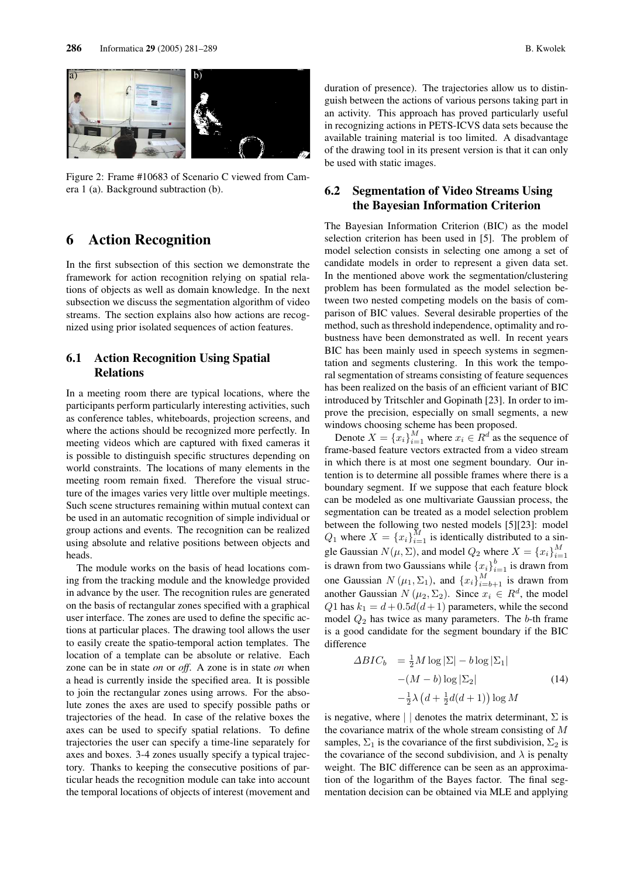

Figure 2: Frame #10683 of Scenario C viewed from Camera 1 (a). Background subtraction (b).

## 6 Action Recognition

In the first subsection of this section we demonstrate the framework for action recognition relying on spatial relations of objects as well as domain knowledge. In the next subsection we discuss the segmentation algorithm of video streams. The section explains also how actions are recognized using prior isolated sequences of action features.

#### 6.1 Action Recognition Using Spatial Relations

In a meeting room there are typical locations, where the participants perform particularly interesting activities, such as conference tables, whiteboards, projection screens, and where the actions should be recognized more perfectly. In meeting videos which are captured with fixed cameras it is possible to distinguish specific structures depending on world constraints. The locations of many elements in the meeting room remain fixed. Therefore the visual structure of the images varies very little over multiple meetings. Such scene structures remaining within mutual context can be used in an automatic recognition of simple individual or group actions and events. The recognition can be realized using absolute and relative positions between objects and heads.

The module works on the basis of head locations coming from the tracking module and the knowledge provided in advance by the user. The recognition rules are generated on the basis of rectangular zones specified with a graphical user interface. The zones are used to define the specific actions at particular places. The drawing tool allows the user to easily create the spatio-temporal action templates. The location of a template can be absolute or relative. Each zone can be in state *on* or *off*. A zone is in state *on* when a head is currently inside the specified area. It is possible to join the rectangular zones using arrows. For the absolute zones the axes are used to specify possible paths or trajectories of the head. In case of the relative boxes the axes can be used to specify spatial relations. To define trajectories the user can specify a time-line separately for axes and boxes. 3-4 zones usually specify a typical trajectory. Thanks to keeping the consecutive positions of particular heads the recognition module can take into account the temporal locations of objects of interest (movement and duration of presence). The trajectories allow us to distinguish between the actions of various persons taking part in an activity. This approach has proved particularly useful in recognizing actions in PETS-ICVS data sets because the available training material is too limited. A disadvantage of the drawing tool in its present version is that it can only be used with static images.

### 6.2 Segmentation of Video Streams Using the Bayesian Information Criterion

The Bayesian Information Criterion (BIC) as the model selection criterion has been used in [5]. The problem of model selection consists in selecting one among a set of candidate models in order to represent a given data set. In the mentioned above work the segmentation/clustering problem has been formulated as the model selection between two nested competing models on the basis of comparison of BIC values. Several desirable properties of the method, such as threshold independence, optimality and robustness have been demonstrated as well. In recent years BIC has been mainly used in speech systems in segmentation and segments clustering. In this work the temporal segmentation of streams consisting of feature sequences has been realized on the basis of an efficient variant of BIC introduced by Tritschler and Gopinath [23]. In order to improve the precision, especially on small segments, a new windows choosing scheme has been proposed.

Denote  $X = \{x_i\}_{i=1}^M$  where  $x_i \in \mathbb{R}^d$  as the sequence of frame-based feature vectors extracted from a video stream in which there is at most one segment boundary. Our intention is to determine all possible frames where there is a boundary segment. If we suppose that each feature block can be modeled as one multivariate Gaussian process, the segmentation can be treated as a model selection problem between the following two nested models [5][23]: model  $Q_1$  where  $X = \{x_i\}_{i=1}^M$  is identically distributed to a single Gaussian  $N(\mu, \Sigma)$ , and model  $Q_2$  where  $X = \{x_i\}_{i=1}^M$  $i=1$ is drawn from two Gaussians while  $\{x_i\}_{i=1}^b$  is drawn from one Gaussian  $N(\mu_1, \Sigma_1)$ , and  $\{x_i\}_{i=b+1}^M$  is drawn from another Gaussian  $N(\mu_2, \Sigma_2)$ . Since  $x_i \in R^d$ , the model Q1 has  $k_1 = d + 0.5d(d+1)$  parameters, while the second model  $Q_2$  has twice as many parameters. The b-th frame is a good candidate for the segment boundary if the BIC difference

$$
\Delta BIC_b = \frac{1}{2} M \log |\Sigma| - b \log |\Sigma_1|
$$
  
 
$$
-(M - b) \log |\Sigma_2|
$$
 (14)  
 
$$
-\frac{1}{2}\lambda (d + \frac{1}{2}d(d+1)) \log M
$$

is negative, where  $|| \cdot ||$  denotes the matrix determinant,  $\Sigma$  is the covariance matrix of the whole stream consisting of M samples,  $\Sigma_1$  is the covariance of the first subdivision,  $\Sigma_2$  is the covariance of the second subdivision, and  $\lambda$  is penalty weight. The BIC difference can be seen as an approximation of the logarithm of the Bayes factor. The final segmentation decision can be obtained via MLE and applying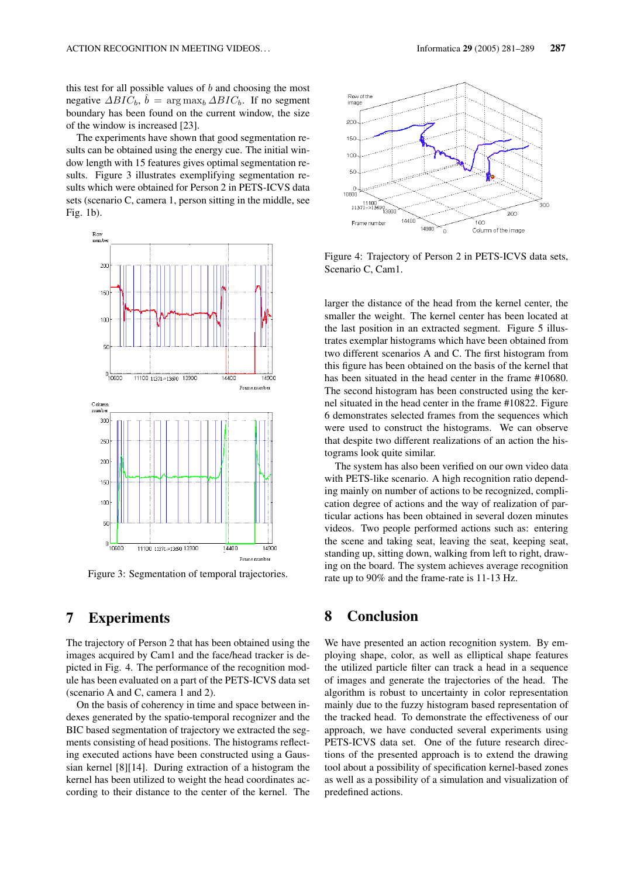this test for all possible values of  $b$  and choosing the most negative  $\triangle BIC_b$ ,  $\hat{b} = \arg \max_b \triangle BIC_b$ . If no segment boundary has been found on the current window, the size of the window is increased [23].

The experiments have shown that good segmentation results can be obtained using the energy cue. The initial window length with 15 features gives optimal segmentation results. Figure 3 illustrates exemplifying segmentation results which were obtained for Person 2 in PETS-ICVS data sets (scenario C, camera 1, person sitting in the middle, see Fig. 1b).



Figure 3: Segmentation of temporal trajectories.

## 7 Experiments

The trajectory of Person 2 that has been obtained using the images acquired by Cam1 and the face/head tracker is depicted in Fig. 4. The performance of the recognition module has been evaluated on a part of the PETS-ICVS data set (scenario A and C, camera 1 and 2).

On the basis of coherency in time and space between indexes generated by the spatio-temporal recognizer and the BIC based segmentation of trajectory we extracted the segments consisting of head positions. The histograms reflecting executed actions have been constructed using a Gaussian kernel [8][14]. During extraction of a histogram the kernel has been utilized to weight the head coordinates according to their distance to the center of the kernel. The



Figure 4: Trajectory of Person 2 in PETS-ICVS data sets, Scenario C, Cam1.

larger the distance of the head from the kernel center, the smaller the weight. The kernel center has been located at the last position in an extracted segment. Figure 5 illustrates exemplar histograms which have been obtained from two different scenarios A and C. The first histogram from this figure has been obtained on the basis of the kernel that has been situated in the head center in the frame #10680. The second histogram has been constructed using the kernel situated in the head center in the frame #10822. Figure 6 demonstrates selected frames from the sequences which were used to construct the histograms. We can observe that despite two different realizations of an action the histograms look quite similar.

The system has also been verified on our own video data with PETS-like scenario. A high recognition ratio depending mainly on number of actions to be recognized, complication degree of actions and the way of realization of particular actions has been obtained in several dozen minutes videos. Two people performed actions such as: entering the scene and taking seat, leaving the seat, keeping seat, standing up, sitting down, walking from left to right, drawing on the board. The system achieves average recognition rate up to 90% and the frame-rate is 11-13 Hz.

# 8 Conclusion

We have presented an action recognition system. By employing shape, color, as well as elliptical shape features the utilized particle filter can track a head in a sequence of images and generate the trajectories of the head. The algorithm is robust to uncertainty in color representation mainly due to the fuzzy histogram based representation of the tracked head. To demonstrate the effectiveness of our approach, we have conducted several experiments using PETS-ICVS data set. One of the future research directions of the presented approach is to extend the drawing tool about a possibility of specification kernel-based zones as well as a possibility of a simulation and visualization of predefined actions.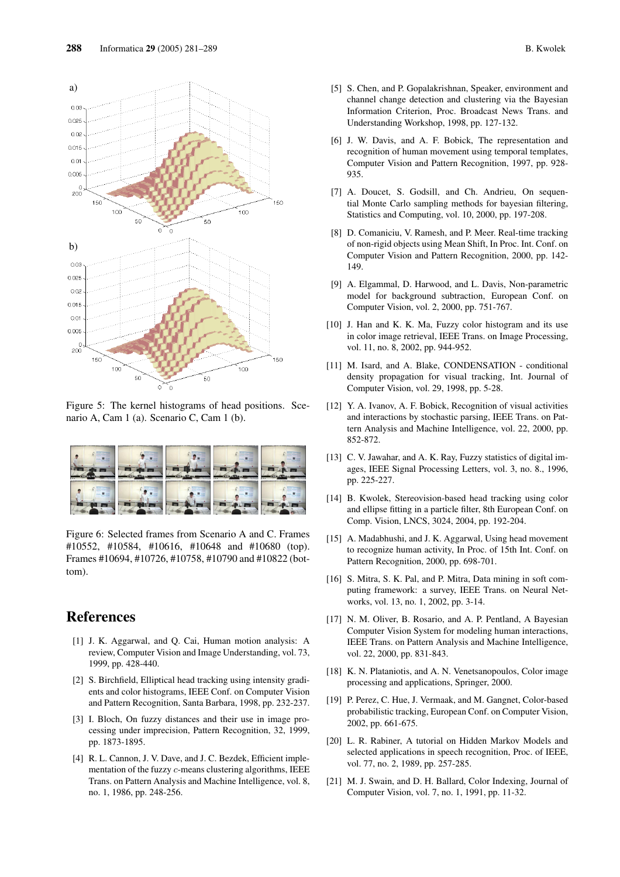

Figure 5: The kernel histograms of head positions. Scenario A, Cam 1 (a). Scenario C, Cam 1 (b).



Figure 6: Selected frames from Scenario A and C. Frames #10552, #10584, #10616, #10648 and #10680 (top). Frames #10694, #10726, #10758, #10790 and #10822 (bottom).

## References

- [1] J. K. Aggarwal, and Q. Cai, Human motion analysis: A review, Computer Vision and Image Understanding, vol. 73, 1999, pp. 428-440.
- [2] S. Birchfield, Elliptical head tracking using intensity gradients and color histograms, IEEE Conf. on Computer Vision and Pattern Recognition, Santa Barbara, 1998, pp. 232-237.
- [3] I. Bloch, On fuzzy distances and their use in image processing under imprecision, Pattern Recognition, 32, 1999, pp. 1873-1895.
- [4] R. L. Cannon, J. V. Dave, and J. C. Bezdek, Efficient implementation of the fuzzy c-means clustering algorithms, IEEE Trans. on Pattern Analysis and Machine Intelligence, vol. 8, no. 1, 1986, pp. 248-256.
- [5] S. Chen, and P. Gopalakrishnan, Speaker, environment and channel change detection and clustering via the Bayesian Information Criterion, Proc. Broadcast News Trans. and Understanding Workshop, 1998, pp. 127-132.
- [6] J. W. Davis, and A. F. Bobick, The representation and recognition of human movement using temporal templates, Computer Vision and Pattern Recognition, 1997, pp. 928- 935.
- [7] A. Doucet, S. Godsill, and Ch. Andrieu, On sequential Monte Carlo sampling methods for bayesian filtering, Statistics and Computing, vol. 10, 2000, pp. 197-208.
- [8] D. Comaniciu, V. Ramesh, and P. Meer. Real-time tracking of non-rigid objects using Mean Shift, In Proc. Int. Conf. on Computer Vision and Pattern Recognition, 2000, pp. 142- 149.
- [9] A. Elgammal, D. Harwood, and L. Davis, Non-parametric model for background subtraction, European Conf. on Computer Vision, vol. 2, 2000, pp. 751-767.
- [10] J. Han and K. K. Ma, Fuzzy color histogram and its use in color image retrieval, IEEE Trans. on Image Processing, vol. 11, no. 8, 2002, pp. 944-952.
- [11] M. Isard, and A. Blake, CONDENSATION conditional density propagation for visual tracking, Int. Journal of Computer Vision, vol. 29, 1998, pp. 5-28.
- [12] Y. A. Ivanov, A. F. Bobick, Recognition of visual activities and interactions by stochastic parsing, IEEE Trans. on Pattern Analysis and Machine Intelligence, vol. 22, 2000, pp. 852-872.
- [13] C. V. Jawahar, and A. K. Ray, Fuzzy statistics of digital images, IEEE Signal Processing Letters, vol. 3, no. 8., 1996, pp. 225-227.
- [14] B. Kwolek, Stereovision-based head tracking using color and ellipse fitting in a particle filter, 8th European Conf. on Comp. Vision, LNCS, 3024, 2004, pp. 192-204.
- [15] A. Madabhushi, and J. K. Aggarwal, Using head movement to recognize human activity, In Proc. of 15th Int. Conf. on Pattern Recognition, 2000, pp. 698-701.
- [16] S. Mitra, S. K. Pal, and P. Mitra, Data mining in soft computing framework: a survey, IEEE Trans. on Neural Networks, vol. 13, no. 1, 2002, pp. 3-14.
- [17] N. M. Oliver, B. Rosario, and A. P. Pentland, A Bayesian Computer Vision System for modeling human interactions, IEEE Trans. on Pattern Analysis and Machine Intelligence, vol. 22, 2000, pp. 831-843.
- [18] K. N. Plataniotis, and A. N. Venetsanopoulos, Color image processing and applications, Springer, 2000.
- [19] P. Perez, C. Hue, J. Vermaak, and M. Gangnet, Color-based probabilistic tracking, European Conf. on Computer Vision, 2002, pp. 661-675.
- [20] L. R. Rabiner, A tutorial on Hidden Markov Models and selected applications in speech recognition, Proc. of IEEE, vol. 77, no. 2, 1989, pp. 257-285.
- [21] M. J. Swain, and D. H. Ballard, Color Indexing, Journal of Computer Vision, vol. 7, no. 1, 1991, pp. 11-32.